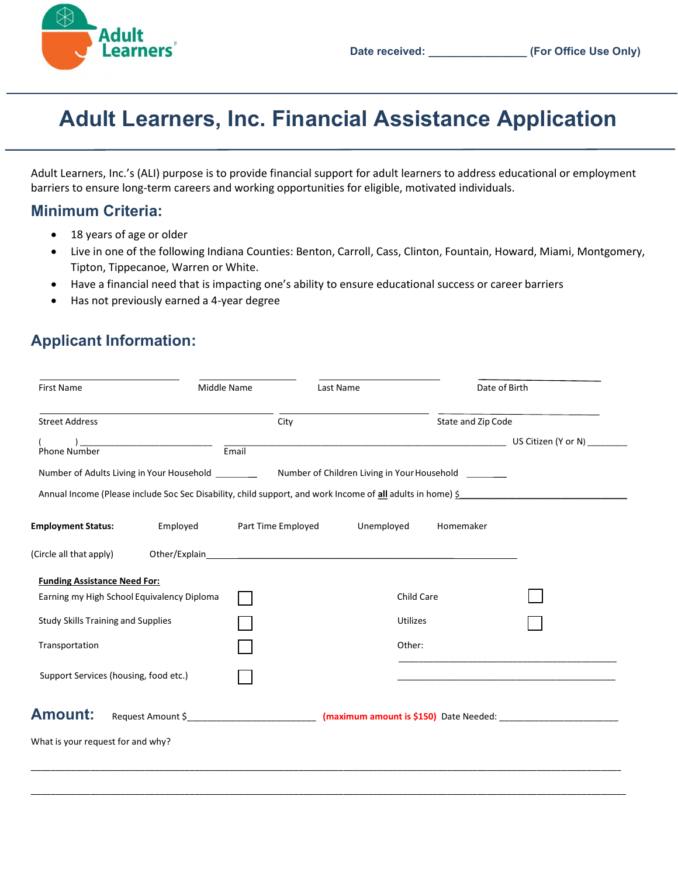

# Adult Learners, Inc. Financial Assistance Application

Adult Learners, Inc.'s (ALI) purpose is to provide financial support for adult learners to address educational or employment barriers to ensure long-term careers and working opportunities for eligible, motivated individuals.

### Minimum Criteria:

- 18 years of age or older
- Live in one of the following Indiana Counties: Benton, Carroll, Cass, Clinton, Fountain, Howard, Miami, Montgomery, Tipton, Tippecanoe, Warren or White.
- Have a financial need that is impacting one's ability to ensure educational success or career barriers
- Has not previously earned a 4-year degree

## Applicant Information:

| <b>First Name</b>                          |          | Middle Name                                                                                                | Last Name       |                    | Date of Birth |
|--------------------------------------------|----------|------------------------------------------------------------------------------------------------------------|-----------------|--------------------|---------------|
| <b>Street Address</b>                      |          | City                                                                                                       |                 | State and Zip Code |               |
| <b>Phone Number</b>                        |          | $E$ mail                                                                                                   |                 |                    |               |
|                                            |          | Number of Adults Living in Your Household ___________ Number of Children Living in Your Household _______  |                 |                    |               |
|                                            |          | Annual Income (Please include Soc Sec Disability, child support, and work Income of all adults in home) \$ |                 |                    |               |
| <b>Employment Status:</b>                  | Employed | Part Time Employed                                                                                         | Unemployed      | Homemaker          |               |
| (Circle all that apply)                    |          |                                                                                                            |                 |                    |               |
| <b>Funding Assistance Need For:</b>        |          |                                                                                                            |                 |                    |               |
| Earning my High School Equivalency Diploma |          |                                                                                                            |                 | Child Care         |               |
| <b>Study Skills Training and Supplies</b>  |          |                                                                                                            | <b>Utilizes</b> |                    |               |
| Transportation                             |          | Other:                                                                                                     |                 |                    |               |
| Support Services (housing, food etc.)      |          |                                                                                                            |                 |                    |               |
| <b>Amount:</b>                             |          | Request Amount \$_______________________________                                                           |                 |                    |               |
| What is your request for and why?          |          |                                                                                                            |                 |                    |               |